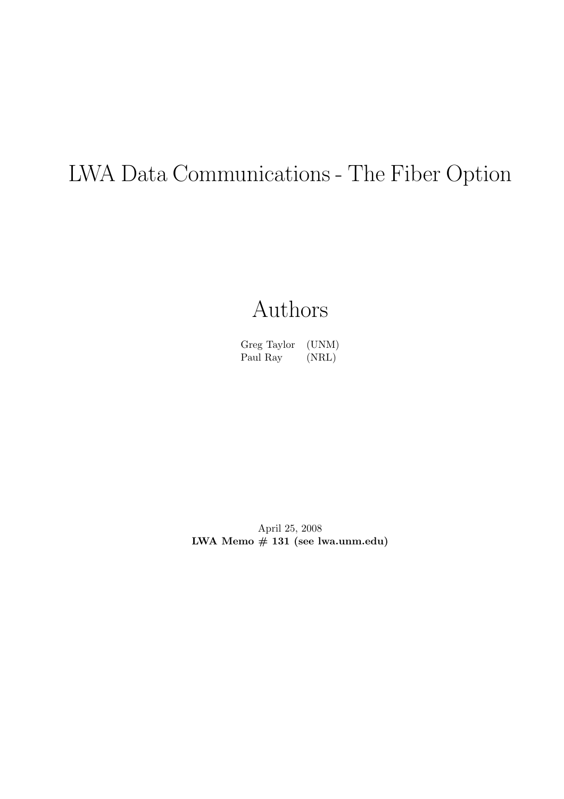# LWA Data Communications - The Fiber Option

# Authors

Greg Taylor (UNM) Paul Ray (NRL)

April 25, 2008 LWA Memo # 131 (see lwa.unm.edu)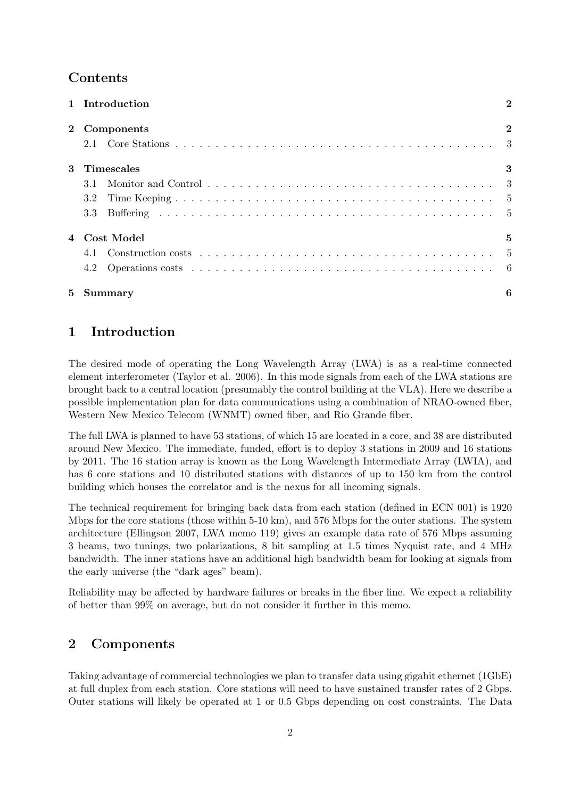### Contents

|       | 1 Introduction | $\overline{2}$ |  |  |
|-------|----------------|----------------|--|--|
|       | 2 Components   |                |  |  |
|       |                |                |  |  |
| 3     | Timescales     | 3              |  |  |
|       | 3.1            |                |  |  |
|       | 3.2            |                |  |  |
|       | 3.3            |                |  |  |
|       | 4 Cost Model   | 5              |  |  |
|       |                |                |  |  |
|       | 4.2            |                |  |  |
| $5 -$ | <b>Summary</b> | 6              |  |  |

# 1 Introduction

The desired mode of operating the Long Wavelength Array (LWA) is as a real-time connected element interferometer (Taylor et al. 2006). In this mode signals from each of the LWA stations are brought back to a central location (presumably the control building at the VLA). Here we describe a possible implementation plan for data communications using a combination of NRAO-owned fiber, Western New Mexico Telecom (WNMT) owned fiber, and Rio Grande fiber.

The full LWA is planned to have 53 stations, of which 15 are located in a core, and 38 are distributed around New Mexico. The immediate, funded, effort is to deploy 3 stations in 2009 and 16 stations by 2011. The 16 station array is known as the Long Wavelength Intermediate Array (LWIA), and has 6 core stations and 10 distributed stations with distances of up to 150 km from the control building which houses the correlator and is the nexus for all incoming signals.

The technical requirement for bringing back data from each station (defined in ECN 001) is 1920 Mbps for the core stations (those within 5-10 km), and 576 Mbps for the outer stations. The system architecture (Ellingson 2007, LWA memo 119) gives an example data rate of 576 Mbps assuming 3 beams, two tunings, two polarizations, 8 bit sampling at 1.5 times Nyquist rate, and 4 MHz bandwidth. The inner stations have an additional high bandwidth beam for looking at signals from the early universe (the "dark ages" beam).

Reliability may be affected by hardware failures or breaks in the fiber line. We expect a reliability of better than 99% on average, but do not consider it further in this memo.

# 2 Components

Taking advantage of commercial technologies we plan to transfer data using gigabit ethernet (1GbE) at full duplex from each station. Core stations will need to have sustained transfer rates of 2 Gbps. Outer stations will likely be operated at 1 or 0.5 Gbps depending on cost constraints. The Data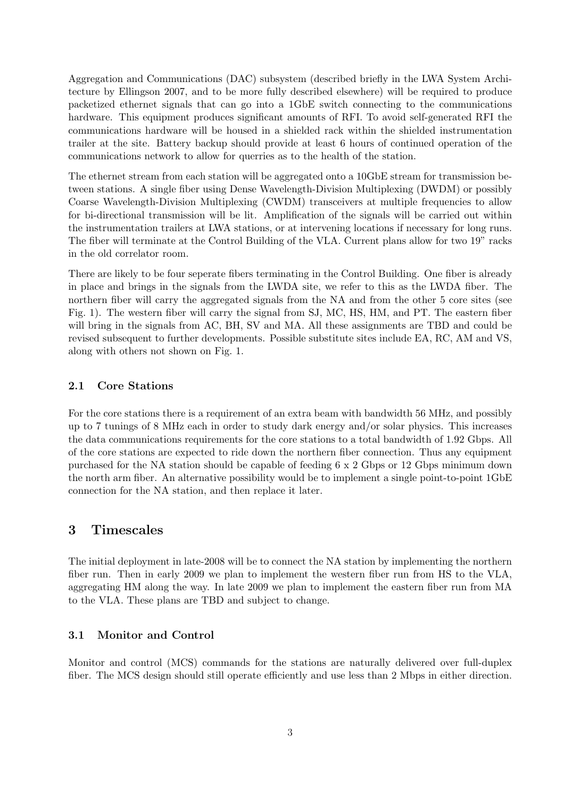Aggregation and Communications (DAC) subsystem (described briefly in the LWA System Architecture by Ellingson 2007, and to be more fully described elsewhere) will be required to produce packetized ethernet signals that can go into a 1GbE switch connecting to the communications hardware. This equipment produces significant amounts of RFI. To avoid self-generated RFI the communications hardware will be housed in a shielded rack within the shielded instrumentation trailer at the site. Battery backup should provide at least 6 hours of continued operation of the communications network to allow for querries as to the health of the station.

The ethernet stream from each station will be aggregated onto a 10GbE stream for transmission between stations. A single fiber using Dense Wavelength-Division Multiplexing (DWDM) or possibly Coarse Wavelength-Division Multiplexing (CWDM) transceivers at multiple frequencies to allow for bi-directional transmission will be lit. Amplification of the signals will be carried out within the instrumentation trailers at LWA stations, or at intervening locations if necessary for long runs. The fiber will terminate at the Control Building of the VLA. Current plans allow for two 19" racks in the old correlator room.

There are likely to be four seperate fibers terminating in the Control Building. One fiber is already in place and brings in the signals from the LWDA site, we refer to this as the LWDA fiber. The northern fiber will carry the aggregated signals from the NA and from the other 5 core sites (see Fig. 1). The western fiber will carry the signal from SJ, MC, HS, HM, and PT. The eastern fiber will bring in the signals from AC, BH, SV and MA. All these assignments are TBD and could be revised subsequent to further developments. Possible substitute sites include EA, RC, AM and VS, along with others not shown on Fig. 1.

#### 2.1 Core Stations

For the core stations there is a requirement of an extra beam with bandwidth 56 MHz, and possibly up to 7 tunings of 8 MHz each in order to study dark energy and/or solar physics. This increases the data communications requirements for the core stations to a total bandwidth of 1.92 Gbps. All of the core stations are expected to ride down the northern fiber connection. Thus any equipment purchased for the NA station should be capable of feeding 6 x 2 Gbps or 12 Gbps minimum down the north arm fiber. An alternative possibility would be to implement a single point-to-point 1GbE connection for the NA station, and then replace it later.

#### 3 Timescales

The initial deployment in late-2008 will be to connect the NA station by implementing the northern fiber run. Then in early 2009 we plan to implement the western fiber run from HS to the VLA, aggregating HM along the way. In late 2009 we plan to implement the eastern fiber run from MA to the VLA. These plans are TBD and subject to change.

#### 3.1 Monitor and Control

Monitor and control (MCS) commands for the stations are naturally delivered over full-duplex fiber. The MCS design should still operate efficiently and use less than 2 Mbps in either direction.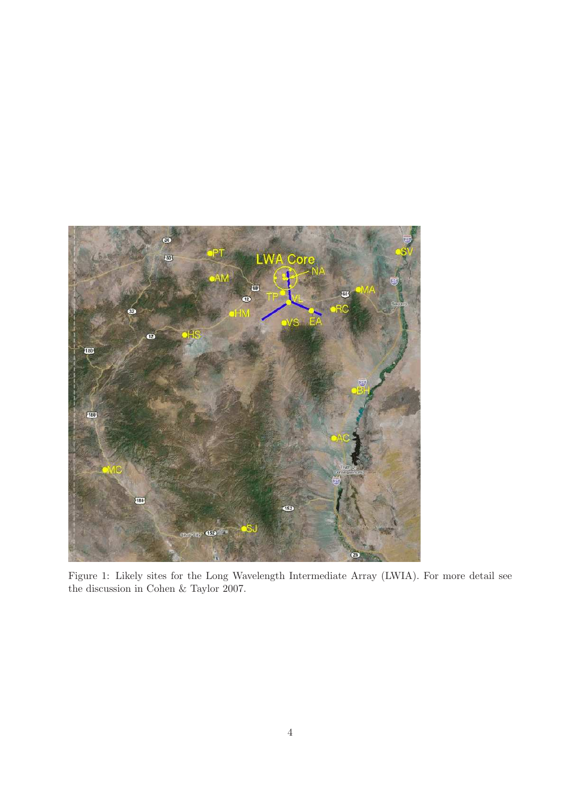

Figure 1: Likely sites for the Long Wavelength Intermediate Array (LWIA). For more detail see the discussion in Cohen & Taylor 2007.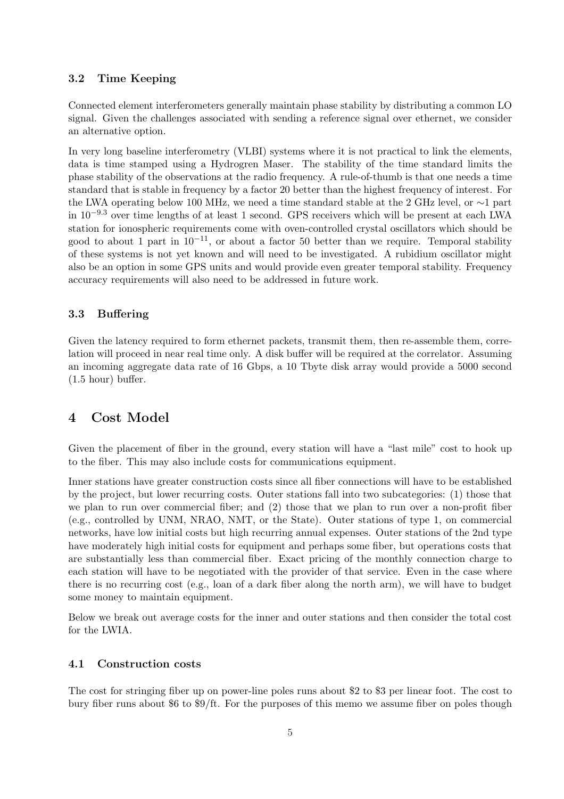#### 3.2 Time Keeping

Connected element interferometers generally maintain phase stability by distributing a common LO signal. Given the challenges associated with sending a reference signal over ethernet, we consider an alternative option.

In very long baseline interferometry (VLBI) systems where it is not practical to link the elements, data is time stamped using a Hydrogren Maser. The stability of the time standard limits the phase stability of the observations at the radio frequency. A rule-of-thumb is that one needs a time standard that is stable in frequency by a factor 20 better than the highest frequency of interest. For the LWA operating below 100 MHz, we need a time standard stable at the 2 GHz level, or ∼1 part in 10−9.<sup>3</sup> over time lengths of at least 1 second. GPS receivers which will be present at each LWA station for ionospheric requirements come with oven-controlled crystal oscillators which should be good to about 1 part in  $10^{-11}$ , or about a factor 50 better than we require. Temporal stability of these systems is not yet known and will need to be investigated. A rubidium oscillator might also be an option in some GPS units and would provide even greater temporal stability. Frequency accuracy requirements will also need to be addressed in future work.

#### 3.3 Buffering

Given the latency required to form ethernet packets, transmit them, then re-assemble them, correlation will proceed in near real time only. A disk buffer will be required at the correlator. Assuming an incoming aggregate data rate of 16 Gbps, a 10 Tbyte disk array would provide a 5000 second (1.5 hour) buffer.

### 4 Cost Model

Given the placement of fiber in the ground, every station will have a "last mile" cost to hook up to the fiber. This may also include costs for communications equipment.

Inner stations have greater construction costs since all fiber connections will have to be established by the project, but lower recurring costs. Outer stations fall into two subcategories: (1) those that we plan to run over commercial fiber; and (2) those that we plan to run over a non-profit fiber (e.g., controlled by UNM, NRAO, NMT, or the State). Outer stations of type 1, on commercial networks, have low initial costs but high recurring annual expenses. Outer stations of the 2nd type have moderately high initial costs for equipment and perhaps some fiber, but operations costs that are substantially less than commercial fiber. Exact pricing of the monthly connection charge to each station will have to be negotiated with the provider of that service. Even in the case where there is no recurring cost (e.g., loan of a dark fiber along the north arm), we will have to budget some money to maintain equipment.

Below we break out average costs for the inner and outer stations and then consider the total cost for the LWIA.

#### 4.1 Construction costs

The cost for stringing fiber up on power-line poles runs about \$2 to \$3 per linear foot. The cost to bury fiber runs about \$6 to \$9/ft. For the purposes of this memo we assume fiber on poles though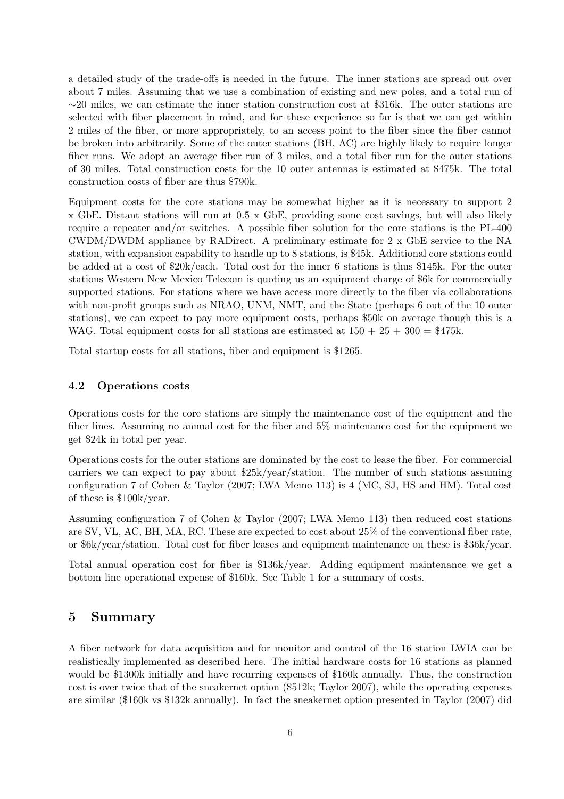a detailed study of the trade-offs is needed in the future. The inner stations are spread out over about 7 miles. Assuming that we use a combination of existing and new poles, and a total run of ∼20 miles, we can estimate the inner station construction cost at \$316k. The outer stations are selected with fiber placement in mind, and for these experience so far is that we can get within 2 miles of the fiber, or more appropriately, to an access point to the fiber since the fiber cannot be broken into arbitrarily. Some of the outer stations (BH, AC) are highly likely to require longer fiber runs. We adopt an average fiber run of 3 miles, and a total fiber run for the outer stations of 30 miles. Total construction costs for the 10 outer antennas is estimated at \$475k. The total construction costs of fiber are thus \$790k.

Equipment costs for the core stations may be somewhat higher as it is necessary to support 2 x GbE. Distant stations will run at 0.5 x GbE, providing some cost savings, but will also likely require a repeater and/or switches. A possible fiber solution for the core stations is the PL-400 CWDM/DWDM appliance by RADirect. A preliminary estimate for 2 x GbE service to the NA station, with expansion capability to handle up to 8 stations, is \$45k. Additional core stations could be added at a cost of \$20k/each. Total cost for the inner 6 stations is thus \$145k. For the outer stations Western New Mexico Telecom is quoting us an equipment charge of \$6k for commercially supported stations. For stations where we have access more directly to the fiber via collaborations with non-profit groups such as NRAO, UNM, NMT, and the State (perhaps 6 out of the 10 outer stations), we can expect to pay more equipment costs, perhaps \$50k on average though this is a WAG. Total equipment costs for all stations are estimated at  $150 + 25 + 300 = $475k$ .

Total startup costs for all stations, fiber and equipment is \$1265.

#### 4.2 Operations costs

Operations costs for the core stations are simply the maintenance cost of the equipment and the fiber lines. Assuming no annual cost for the fiber and 5% maintenance cost for the equipment we get \$24k in total per year.

Operations costs for the outer stations are dominated by the cost to lease the fiber. For commercial carriers we can expect to pay about \$25k/year/station. The number of such stations assuming configuration 7 of Cohen & Taylor (2007; LWA Memo 113) is 4 (MC, SJ, HS and HM). Total cost of these is \$100k/year.

Assuming configuration 7 of Cohen & Taylor (2007; LWA Memo 113) then reduced cost stations are SV, VL, AC, BH, MA, RC. These are expected to cost about 25% of the conventional fiber rate, or \$6k/year/station. Total cost for fiber leases and equipment maintenance on these is \$36k/year.

Total annual operation cost for fiber is \$136k/year. Adding equipment maintenance we get a bottom line operational expense of \$160k. See Table 1 for a summary of costs.

#### 5 Summary

A fiber network for data acquisition and for monitor and control of the 16 station LWIA can be realistically implemented as described here. The initial hardware costs for 16 stations as planned would be \$1300k initially and have recurring expenses of \$160k annually. Thus, the construction cost is over twice that of the sneakernet option (\$512k; Taylor 2007), while the operating expenses are similar (\$160k vs \$132k annually). In fact the sneakernet option presented in Taylor (2007) did